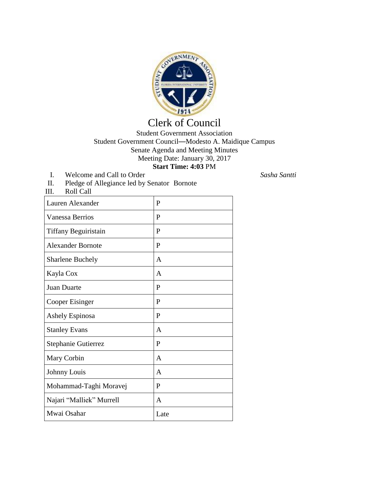

## Clerk of Council

Student Government Association Student Government Council—Modesto A. Maidique Campus Senate Agenda and Meeting Minutes Meeting Date: January 30, 2017 **Start Time: 4:03** PM

- I. Welcome and Call to Order *Sasha Santti*
	-

| Lauren Alexander         | $\mathbf{P}$ |  |
|--------------------------|--------------|--|
| Vanessa Berrios          | P            |  |
| Tiffany Beguiristain     | $\mathbf{P}$ |  |
| <b>Alexander Bornote</b> | P            |  |
| <b>Sharlene Buchely</b>  | A            |  |
| Kayla Cox                | A            |  |
| Juan Duarte              | P            |  |
| Cooper Eisinger          | P            |  |
| Ashely Espinosa          | P            |  |
| <b>Stanley Evans</b>     | A            |  |
| Stephanie Gutierrez      | P            |  |
| Mary Corbin              | A            |  |
| Johnny Louis             | A            |  |
| Mohammad-Taghi Moravej   | $\mathbf{P}$ |  |
| Najari "Malliek" Murrell | A            |  |
| Mwai Osahar              | Late         |  |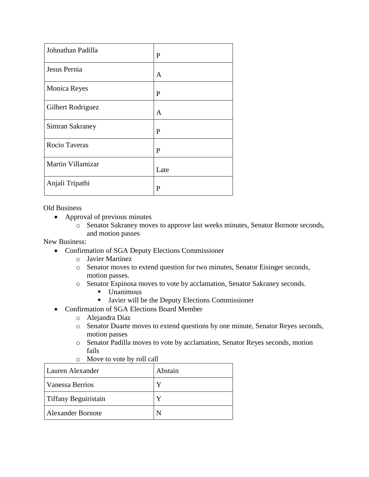| Johnathan Padilla   | P    |
|---------------------|------|
| Jesus Pernia        | A    |
| <b>Monica Reyes</b> | P    |
| Gilbert Rodriguez   | A    |
| Simran Sakraney     | P    |
| Rocio Taveras       | P    |
| Martin Villamizar   | Late |
| Anjali Tripathi     | P    |

Old Business

- Approval of previous minutes
	- o Senator Sakraney moves to approve last weeks minutes, Senator Bornote seconds, and motion passes

New Business:

- Confirmation of SGA Deputy Elections Commissioner
	- o Javier Martinez
	- o Senator moves to extend question for two minutes, Senator Eisinger seconds, motion passes.
	- o Senator Espinosa moves to vote by acclamation, Senator Sakraney seconds.
		- Unanimous
		- **Javier will be the Deputy Elections Commissioner**
- Confirmation of SGA Elections Board Member
	- o Alejandra Diaz
	- o Senator Duarte moves to extend questions by one minute, Senator Reyes seconds, motion passes
	- o Senator Padilla moves to vote by acclamation, Senator Reyes seconds, motion fails
	- o Move to vote by roll call

| Lauren Alexander         | Abstain |
|--------------------------|---------|
| Vanessa Berrios          |         |
| Tiffany Beguiristain     |         |
| <b>Alexander Bornote</b> |         |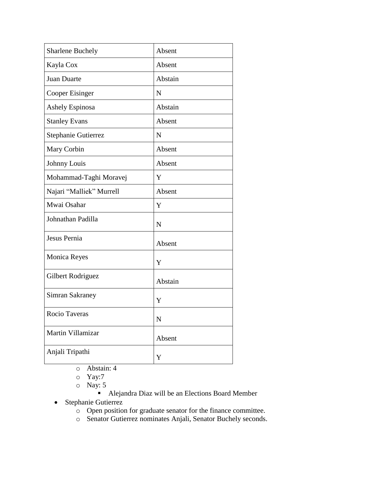| <b>Sharlene Buchely</b>  | Absent      |
|--------------------------|-------------|
| Kayla Cox                | Absent      |
| Juan Duarte              | Abstain     |
| Cooper Eisinger          | $\mathbf N$ |
| <b>Ashely Espinosa</b>   | Abstain     |
| <b>Stanley Evans</b>     | Absent      |
| Stephanie Gutierrez      | N           |
| Mary Corbin              | Absent      |
| Johnny Louis             | Absent      |
| Mohammad-Taghi Moravej   | Y           |
| Najari "Malliek" Murrell | Absent      |
| Mwai Osahar              | Y           |
| Johnathan Padilla        | $\mathbf N$ |
| Jesus Pernia             | Absent      |
| <b>Monica Reyes</b>      | Y           |
| Gilbert Rodriguez        | Abstain     |
| <b>Simran Sakraney</b>   | Y           |
| Rocio Taveras            | $\mathbf N$ |
| Martin Villamizar        | Absent      |
| Anjali Tripathi          | Y           |

- o Abstain: 4
- o Yay:7
- o Nay: 5
	- Alejandra Diaz will be an Elections Board Member
- Stephanie Gutierrez
	- o Open position for graduate senator for the finance committee.
	- o Senator Gutierrez nominates Anjali, Senator Buchely seconds.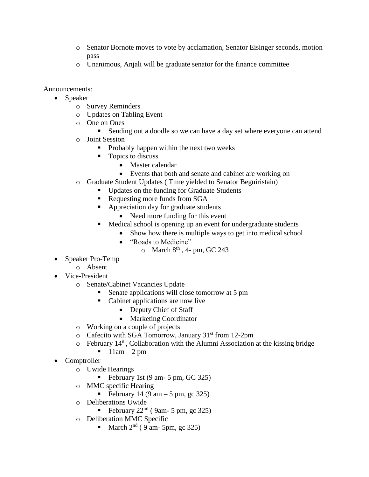- o Senator Bornote moves to vote by acclamation, Senator Eisinger seconds, motion pass
- o Unanimous, Anjali will be graduate senator for the finance committee

Announcements:

- Speaker
	- o Survey Reminders
	- o Updates on Tabling Event
	- o One on Ones
		- Sending out a doodle so we can have a day set where everyone can attend
	- o Joint Session
		- $\blacksquare$  Probably happen within the next two weeks
		- $\blacksquare$  Topics to discuss
			- Master calendar
			- Events that both and senate and cabinet are working on
	- o Graduate Student Updates ( Time yielded to Senator Beguiristain)
		- Updates on the funding for Graduate Students
		- Requesting more funds from SGA
			- Appreciation day for graduate students
				- Need more funding for this event
		- Medical school is opening up an event for undergraduate students
			- Show how there is multiple ways to get into medical school
				- "Roads to Medicine"
					- $\circ$  March  $8^{\text{th}}$ , 4- pm, GC 243
- Speaker Pro-Temp
	- o Absent
- Vice-President
	- o Senate/Cabinet Vacancies Update
		- Senate applications will close tomorrow at 5 pm
		- Cabinet applications are now live
			- Deputy Chief of Staff
			- Marketing Coordinator
	- o Working on a couple of projects
	- $\circ$  Cafecito with SGA Tomorrow, January 31<sup>st</sup> from 12-2pm
	- $\circ$  February 14<sup>th</sup>, Collaboration with the Alumni Association at the kissing bridge
		- $11am 2 pm$
- Comptroller
	- o Uwide Hearings
		- February 1st  $(9 \text{ am} 5 \text{ pm}, \text{GC } 325)$
	- o MMC specific Hearing
		- February 14 (9 am  $-5$  pm, gc 325)
	- o Deliberations Uwide
		- February  $22<sup>nd</sup>$  (9am- 5 pm, gc 325)
	- o Deliberation MMC Specific
		- March  $2<sup>nd</sup>$  ( 9 am- 5pm, gc 325)